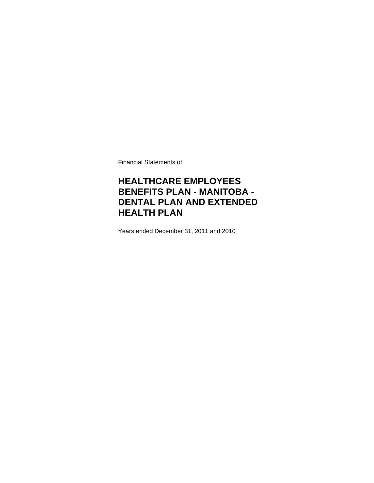Financial Statements of

### **HEALTHCARE EMPLOYEES BENEFITS PLAN - MANITOBA - DENTAL PLAN AND EXTENDED HEALTH PLAN**

Years ended December 31, 2011 and 2010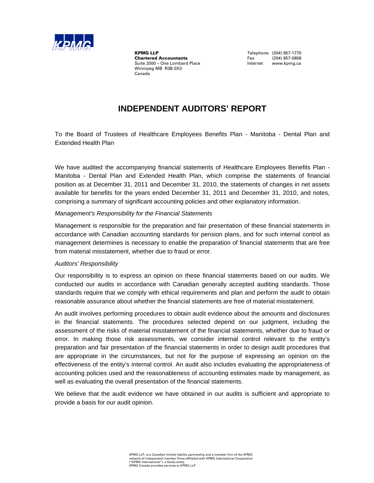

**KPMG LLP**<br> **Chartered Accountants**<br>
Chartered Accountants<br>
Tax (204) 957-0808 **Chartered Accountants**<br>Suite 2000 - One Lombard Place Winnipeg MB R3B 0X3 Canada

Internet www.kpmg.ca

### **INDEPENDENT AUDITORS' REPORT**

To the Board of Trustees of Healthcare Employees Benefits Plan - Manitoba - Dental Plan and Extended Health Plan

We have audited the accompanying financial statements of Healthcare Employees Benefits Plan - Manitoba - Dental Plan and Extended Health Plan, which comprise the statements of financial position as at December 31, 2011 and December 31, 2010, the statements of changes in net assets available for benefits for the years ended December 31, 2011 and December 31, 2010, and notes, comprising a summary of significant accounting policies and other explanatory information.

#### *Management's Responsibility for the Financial Statements*

Management is responsible for the preparation and fair presentation of these financial statements in accordance with Canadian accounting standards for pension plans, and for such internal control as management determines is necessary to enable the preparation of financial statements that are free from material misstatement, whether due to fraud or error.

#### *Auditors' Responsibility*

Our responsibility is to express an opinion on these financial statements based on our audits. We conducted our audits in accordance with Canadian generally accepted auditing standards. Those standards require that we comply with ethical requirements and plan and perform the audit to obtain reasonable assurance about whether the financial statements are free of material misstatement.

An audit involves performing procedures to obtain audit evidence about the amounts and disclosures in the financial statements. The procedures selected depend on our judgment, including the assessment of the risks of material misstatement of the financial statements, whether due to fraud or error. In making those risk assessments, we consider internal control relevant to the entity's preparation and fair presentation of the financial statements in order to design audit procedures that are appropriate in the circumstances, but not for the purpose of expressing an opinion on the effectiveness of the entity's internal control. An audit also includes evaluating the appropriateness of accounting policies used and the reasonableness of accounting estimates made by management, as well as evaluating the overall presentation of the financial statements.

We believe that the audit evidence we have obtained in our audits is sufficient and appropriate to provide a basis for our audit opinion.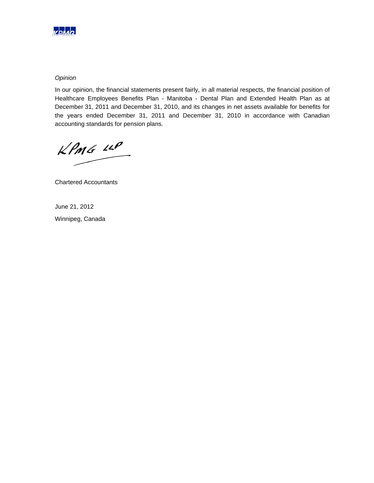

#### *Opinion*

In our opinion, the financial statements present fairly, in all material respects, the financial position of Healthcare Employees Benefits Plan - Manitoba - Dental Plan and Extended Health Plan as at December 31, 2011 and December 31, 2010, and its changes in net assets available for benefits for the years ended December 31, 2011 and December 31, 2010 in accordance with Canadian accounting standards for pension plans.

 $kPMS$   $\mu P$ 

Chartered Accountants

June 21, 2012

Winnipeg, Canada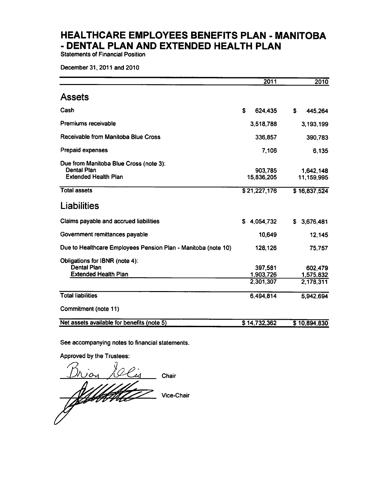**Statements of Financial Position** 

December 31, 2011 and 2010

|                                                                                             | 2011                              | 2010                              |
|---------------------------------------------------------------------------------------------|-----------------------------------|-----------------------------------|
| <b>Assets</b>                                                                               |                                   |                                   |
| Cash                                                                                        | S<br>624,435                      | S<br>445,264                      |
| <b>Premiums receivable</b>                                                                  | 3,518,788                         | 3,193,199                         |
| Receivable from Manitoba Blue Cross                                                         | 336,857                           | 390,783                           |
| <b>Prepaid expenses</b>                                                                     | 7,106                             | 6,135                             |
| Due from Manitoba Blue Cross (note 3):<br><b>Dental Plan</b><br><b>Extended Health Plan</b> | 903,785<br>15,836,205             | 1,642,148<br>11,159,995           |
| <b>Total assets</b>                                                                         | \$21,227,176                      | \$16,837,524                      |
| <b>Liabilities</b>                                                                          |                                   |                                   |
| Claims payable and accrued liabilities                                                      | \$4,054,732                       | 3,676,481<br>S.                   |
| Government remittances payable                                                              | 10,649                            | 12,145                            |
| Due to Healthcare Employees Pension Plan - Manitoba (note 10)                               | 128,126                           | 75,757                            |
| Obligations for IBNR (note 4):<br><b>Dental Plan</b><br><b>Extended Health Plan</b>         | 397,581<br>1,903,726<br>2,301,307 | 602,479<br>1,575,832<br>2,178,311 |
| <b>Total liabilities</b>                                                                    | 6,494,814                         | 5,942,694                         |
| Commitment (note 11)                                                                        |                                   |                                   |
| Net assets available for benefits (note 5)                                                  | \$14,732,362                      | \$10.894.830                      |

See accompanying notes to financial statements.

Approved by the Trustees:

10Cis  $D_t$ ion Chair ffeldt ge Vice-Chair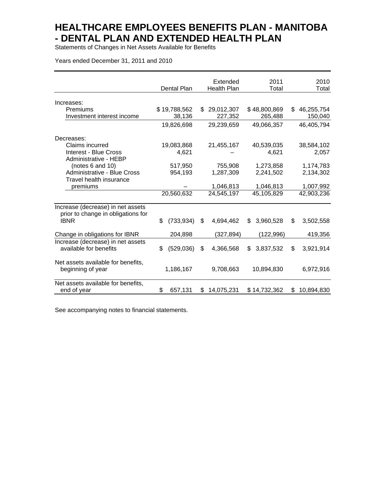Statements of Changes in Net Assets Available for Benefits

Years ended December 31, 2011 and 2010

|                                                                         | Dental Plan      | Extended<br><b>Health Plan</b> | 2011<br>Total   |    | 2010<br>Total |
|-------------------------------------------------------------------------|------------------|--------------------------------|-----------------|----|---------------|
| Increases:                                                              |                  |                                |                 |    |               |
| Premiums                                                                | \$19,788,562     | \$<br>29,012,307               | \$48,800,869    | \$ | 46,255,754    |
| Investment interest income                                              | 38,136           | 227,352                        | 265,488         |    | 150,040       |
|                                                                         | 19,826,698       | 29,239,659                     | 49,066,357      |    | 46,405,794    |
| Decreases:                                                              |                  |                                |                 |    |               |
| Claims incurred                                                         | 19,083,868       | 21,455,167                     | 40,539,035      |    | 38,584,102    |
| <b>Interest - Blue Cross</b><br>Administrative - HEBP                   | 4,621            |                                | 4,621           |    | 2,057         |
| (notes 6 and 10)                                                        | 517,950          | 755,908                        | 1,273,858       |    | 1,174,783     |
| Administrative - Blue Cross                                             | 954,193          | 1,287,309                      | 2,241,502       |    | 2,134,302     |
| Travel health insurance                                                 |                  |                                |                 |    |               |
| premiums                                                                |                  | 1,046,813                      | 1,046,813       |    | 1,007,992     |
|                                                                         | 20,560,632       | 24,545,197                     | 45,105,829      |    | 42,903,236    |
| Increase (decrease) in net assets<br>prior to change in obligations for |                  |                                |                 |    |               |
| <b>IBNR</b>                                                             | \$<br>(733, 934) | \$<br>4,694,462                | 3,960,528<br>\$ | \$ | 3,502,558     |
| Change in obligations for IBNR                                          | 204,898          | (327, 894)                     | (122, 996)      |    | 419,356       |
| Increase (decrease) in net assets<br>available for benefits             | \$<br>(529,036)  | \$<br>4,366,568                | 3,837,532<br>\$ | \$ | 3,921,914     |
| Net assets available for benefits,<br>beginning of year                 | 1,186,167        | 9,708,663                      | 10,894,830      |    | 6,972,916     |
| Net assets available for benefits,<br>end of year                       | \$<br>657,131    | \$14,075,231                   | \$14,732,362    | S  | 10,894,830    |

See accompanying notes to financial statements.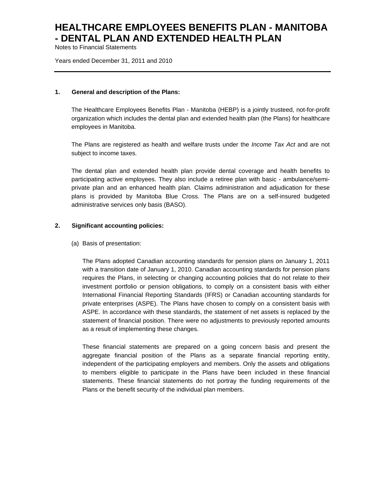Notes to Financial Statements

Years ended December 31, 2011 and 2010

#### **1. General and description of the Plans:**

The Healthcare Employees Benefits Plan - Manitoba (HEBP) is a jointly trusteed, not-for-profit organization which includes the dental plan and extended health plan (the Plans) for healthcare employees in Manitoba.

The Plans are registered as health and welfare trusts under the *Income Tax Act* and are not subject to income taxes*.*

The dental plan and extended health plan provide dental coverage and health benefits to participating active employees. They also include a retiree plan with basic - ambulance/semiprivate plan and an enhanced health plan. Claims administration and adjudication for these plans is provided by Manitoba Blue Cross. The Plans are on a self-insured budgeted administrative services only basis (BASO).

### **2. Significant accounting policies:**

(a) Basis of presentation:

The Plans adopted Canadian accounting standards for pension plans on January 1, 2011 with a transition date of January 1, 2010. Canadian accounting standards for pension plans requires the Plans, in selecting or changing accounting policies that do not relate to their investment portfolio or pension obligations, to comply on a consistent basis with either International Financial Reporting Standards (IFRS) or Canadian accounting standards for private enterprises (ASPE). The Plans have chosen to comply on a consistent basis with ASPE. In accordance with these standards, the statement of net assets is replaced by the statement of financial position. There were no adjustments to previously reported amounts as a result of implementing these changes.

These financial statements are prepared on a going concern basis and present the aggregate financial position of the Plans as a separate financial reporting entity, independent of the participating employers and members. Only the assets and obligations to members eligible to participate in the Plans have been included in these financial statements. These financial statements do not portray the funding requirements of the Plans or the benefit security of the individual plan members.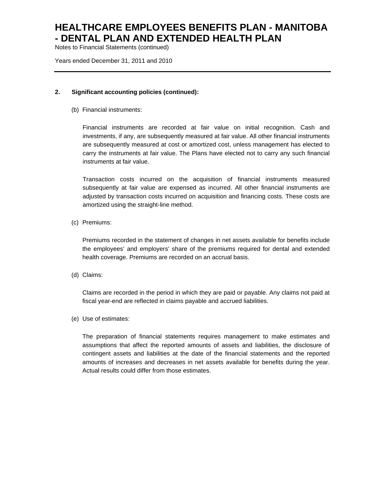Notes to Financial Statements (continued)

Years ended December 31, 2011 and 2010

### **2. Significant accounting policies (continued):**

(b) Financial instruments:

Financial instruments are recorded at fair value on initial recognition. Cash and investments, if any, are subsequently measured at fair value. All other financial instruments are subsequently measured at cost or amortized cost, unless management has elected to carry the instruments at fair value. The Plans have elected not to carry any such financial instruments at fair value.

Transaction costs incurred on the acquisition of financial instruments measured subsequently at fair value are expensed as incurred. All other financial instruments are adjusted by transaction costs incurred on acquisition and financing costs. These costs are amortized using the straight-line method.

(c) Premiums:

Premiums recorded in the statement of changes in net assets available for benefits include the employees' and employers' share of the premiums required for dental and extended health coverage. Premiums are recorded on an accrual basis.

(d) Claims:

Claims are recorded in the period in which they are paid or payable. Any claims not paid at fiscal year-end are reflected in claims payable and accrued liabilities.

(e) Use of estimates:

The preparation of financial statements requires management to make estimates and assumptions that affect the reported amounts of assets and liabilities, the disclosure of contingent assets and liabilities at the date of the financial statements and the reported amounts of increases and decreases in net assets available for benefits during the year. Actual results could differ from those estimates.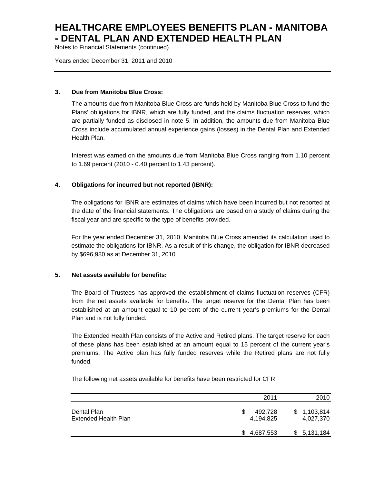Notes to Financial Statements (continued)

Years ended December 31, 2011 and 2010

### **3. Due from Manitoba Blue Cross:**

The amounts due from Manitoba Blue Cross are funds held by Manitoba Blue Cross to fund the Plans' obligations for IBNR, which are fully funded, and the claims fluctuation reserves, which are partially funded as disclosed in note 5. In addition, the amounts due from Manitoba Blue Cross include accumulated annual experience gains (losses) in the Dental Plan and Extended Health Plan.

Interest was earned on the amounts due from Manitoba Blue Cross ranging from 1.10 percent to 1.69 percent (2010 - 0.40 percent to 1.43 percent).

### **4. Obligations for incurred but not reported (IBNR):**

The obligations for IBNR are estimates of claims which have been incurred but not reported at the date of the financial statements. The obligations are based on a study of claims during the fiscal year and are specific to the type of benefits provided.

For the year ended December 31, 2010, Manitoba Blue Cross amended its calculation used to estimate the obligations for IBNR. As a result of this change, the obligation for IBNR decreased by \$696,980 as at December 31, 2010.

### **5. Net assets available for benefits:**

The Board of Trustees has approved the establishment of claims fluctuation reserves (CFR) from the net assets available for benefits. The target reserve for the Dental Plan has been established at an amount equal to 10 percent of the current year's premiums for the Dental Plan and is not fully funded.

The Extended Health Plan consists of the Active and Retired plans. The target reserve for each of these plans has been established at an amount equal to 15 percent of the current year's premiums. The Active plan has fully funded reserves while the Retired plans are not fully funded.

The following net assets available for benefits have been restricted for CFR:

|                                            | 2011                 | 2010                     |
|--------------------------------------------|----------------------|--------------------------|
| Dental Plan<br><b>Extended Health Plan</b> | 492.728<br>4.194.825 | \$1,103,814<br>4,027,370 |
|                                            | \$4,687,553          | \$5,131,184              |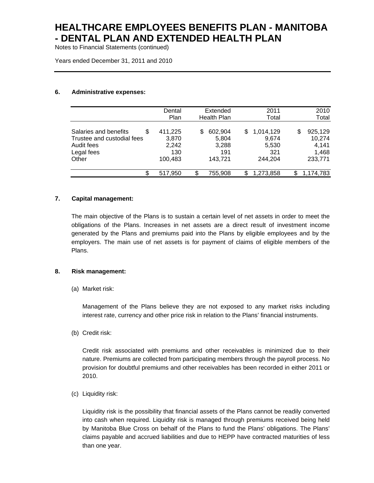Notes to Financial Statements (continued)

Years ended December 31, 2011 and 2010

#### **6. Administrative expenses:**

|                             | Dental  | Extended           | 2011            | 2010           |
|-----------------------------|---------|--------------------|-----------------|----------------|
|                             | Plan    | <b>Health Plan</b> | Total           | Total          |
|                             |         |                    |                 |                |
| Salaries and benefits<br>\$ | 411,225 | 602,904<br>S       | 1,014,129<br>S  | 925,129<br>S   |
| Trustee and custodial fees  | 3,870   | 5,804              | 9,674           | 10,274         |
| Audit fees                  | 2,242   | 3,288              | 5,530           | 4,141          |
| Legal fees                  | 130     | 191                | 321             | 1,468          |
| Other                       | 100,483 | 143.721            | 244.204         | 233,771        |
| \$                          | 517,950 | \$<br>755,908      | 1,273,858<br>\$ | 1,174,783<br>S |
|                             |         |                    |                 |                |

### **7. Capital management:**

The main objective of the Plans is to sustain a certain level of net assets in order to meet the obligations of the Plans. Increases in net assets are a direct result of investment income generated by the Plans and premiums paid into the Plans by eligible employees and by the employers. The main use of net assets is for payment of claims of eligible members of the Plans.

#### **8. Risk management:**

(a) Market risk:

Management of the Plans believe they are not exposed to any market risks including interest rate, currency and other price risk in relation to the Plans' financial instruments.

(b) Credit risk:

Credit risk associated with premiums and other receivables is minimized due to their nature. Premiums are collected from participating members through the payroll process. No provision for doubtful premiums and other receivables has been recorded in either 2011 or 2010.

(c) Liquidity risk:

Liquidity risk is the possibility that financial assets of the Plans cannot be readily converted into cash when required. Liquidity risk is managed through premiums received being held by Manitoba Blue Cross on behalf of the Plans to fund the Plans' obligations. The Plans' claims payable and accrued liabilities and due to HEPP have contracted maturities of less than one year.